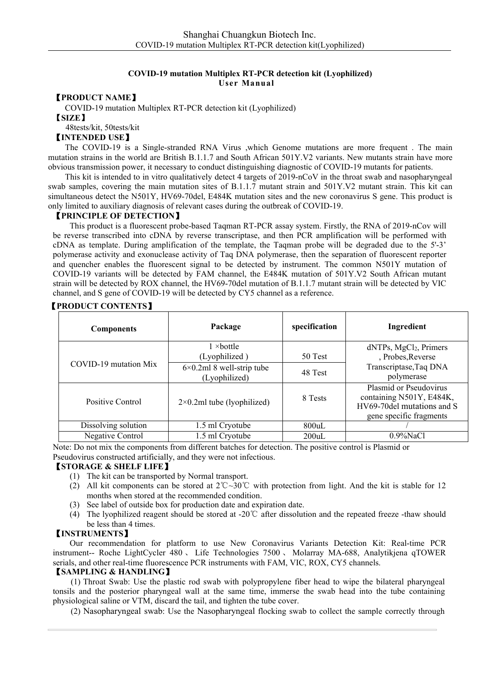## **COVID-19 mutation Multiplex RT-PCR detection kit (Lyophilized) User Manual**

#### 【**PRODUCT NAME**】

COVID-19 mutation Multiplex RT-PCR detection kit (Lyophilized)

48tests/kit, 50tests/kit

## 【**INTENDED USE**】

The COVID-19 is a Single-stranded RNA Virus ,which Genome mutations are more frequent . The main mutation strains in the world are British B.1.1.7 and South African 501Y.V2 variants. New mutants strain have more obvious transmission power, it necessary to conduct distinguishing diagnostic of COVID-19 mutants for patients.

This kit is intended to in vitro qualitatively detect 4 targets of 2019-nCoV in the throat swab and nasopharyngeal swab samples, covering the main mutation sites of B.1.1.7 mutant strain and 501Y.V2 mutant strain. This kit can simultaneous detect the N501Y, HV69-70del, E484K mutation sites and the new coronavirus S gene. This product is only limited to auxiliary diagnosis ofrelevant cases during the outbreak of COVID-19.

#### 【**PRINCIPLE OF DETECTION**】

This product is a fluorescent probe-based Taqman RT-PCR assay system. Firstly, the RNA of 2019-nCov will be reverse transcribed into cDNA by reverse transcriptase, and then PCR amplification will be performed with cDNA as template. During amplification of the template, the Taqman probe will be degraded due to the 5'-3' polymerase activity and exonuclease activity of Taq DNA polymerase, then the separation of fluorescent reporter and quencher enables the fluorescent signal to be detected by instrument. The common N501Y mutation of COVID-19 variants will be detected by FAM channel, the E484K mutation of 501Y.V2 South African mutant strain will be detected by ROX channel, the HV69-70del mutation of B.1.1.7 mutant strain will be detected by VIC channel, and S gene of COVID-19 will be detected by CY5 channel as a reference.

| <b>Components</b>     | Package                                              | specification | Ingredient                                                                                                  |
|-----------------------|------------------------------------------------------|---------------|-------------------------------------------------------------------------------------------------------------|
|                       | $1 \times$ bottle<br>(Lyophilized)                   | 50 Test       | dNTPs, MgCl <sub>2</sub> , Primers<br>, Probes, Reverse                                                     |
| COVID-19 mutation Mix | $6 \times 0.2$ ml 8 well-strip tube<br>(Lyophilized) | 48 Test       | Transcriptase, Taq DNA<br>polymerase                                                                        |
| Positive Control      | $2\times0.2$ ml tube (lyophilized)                   | 8 Tests       | Plasmid or Pseudovirus<br>containing N501Y, E484K,<br>HV69-70del mutations and S<br>gene specific fragments |
| Dissolving solution   | 1.5 ml Cryotube                                      | 800uL         |                                                                                                             |
| Negative Control      | 1.5 ml Cryotube                                      | 200uL         | $0.9\%$ NaCl                                                                                                |

## 【**PRODUCT CONTENTS**】

Note: Do not mix the components from different batches for detection. The positive control is Plasmid or Pseudovirus constructed artificially, and they were not infectious.

#### 【**STORAGE & SHELF LIFE**】

- (1) The kit can be transported by Normal transport.
- (2) All kit components can be stored at 2℃~30℃ with protection from light.And the kit is stable for 12 months when stored at the recommended condition.
- (3) See label of outside box for production date and expiration date.
- (4) The lyophilized reagent should be stored at -20℃ after dissolution and the repeated freeze -thaw should be less than 4 times.

#### 【**INSTRUMENTS**】

Our recommendation for platform to use New Coronavirus Variants Detection Kit: Real-time PCR instrument-- Roche LightCycler 480 、 Life Technologies 7500 、 Molarray MA-688, Analytikjena qTOWER serials, and other real-time fluorescence PCR instruments with FAM, VIC, ROX, CY5 channels.

## 【**SAMPLING & HANDLING**】

(1) Throat Swab: Use the plastic rod swab with polypropylene fiber head to wipe the bilateral pharyngeal tonsils and the posterior pharyngeal wall at the same time, immerse the swab head into the tube containing physiological saline or VTM, discard the tail, and tighten the tube cover.

(2) Nasopharyngeal swab: Use the Nasopharyngeal flocking swab to collect the sample correctly through

<sup>【</sup>**SIZE**】